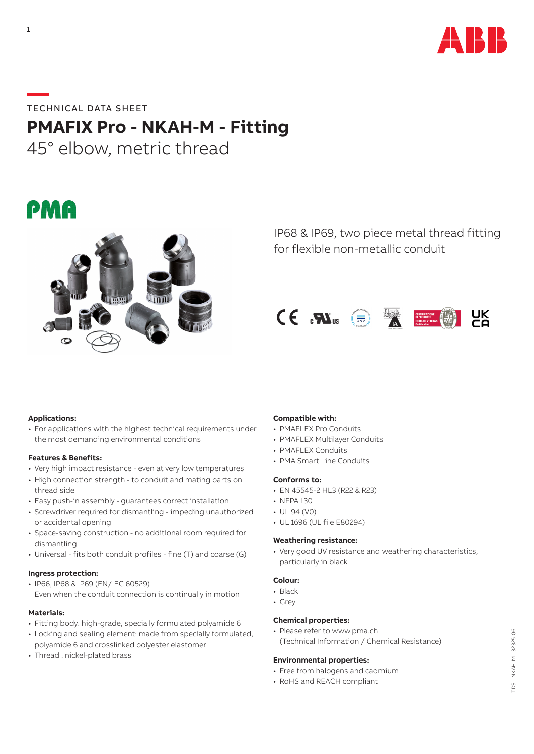

# **—**TECHNICAL DATA SHEET

# **PMAFIX Pro - NKAH-M - Fitting**

45° elbow, metric thread

# **PMA**



IP68 & IP69, two piece metal thread fitting for flexible non-metallic conduit



# **Applications:**

• For applications with the highest technical requirements under the most demanding environmental conditions

# **Features & Benefits:**

- Very high impact resistance even at very low temperatures
- High connection strength to conduit and mating parts on thread side
- Easy push-in assembly guarantees correct installation
- Screwdriver required for dismantling impeding unauthorized or accidental opening
- Space-saving construction no additional room required for dismantling
- Universal fits both conduit profiles fine (T) and coarse (G)

# **Ingress protection:**

• IP66, IP68 & IP69 (EN/IEC 60529) Even when the conduit connection is continually in motion

# **Materials:**

- Fitting body: high-grade, specially formulated polyamide 6
- Locking and sealing element: made from specially formulated, polyamide 6 and crosslinked polyester elastomer
- Thread : nickel-plated brass

# **Compatible with:**

- PMAFLEX Pro Conduits
- PMAFLEX Multilayer Conduits
- PMAFLEX Conduits
- PMA Smart Line Conduits

#### **Conforms to:**

- EN 45545-2 HL3 (R22 & R23)
- NFPA 130
- UL 94 (V0)
- UL 1696 (UL file E80294)

#### **Weathering resistance:**

• Very good UV resistance and weathering characteristics, particularly in black

# **Colour:**

- Black
- Grey

# **Chemical properties:**

• Please refer to www.pma.ch (Technical Information / Chemical Resistance)

#### **Environmental properties:**

- Free from halogens and cadmium
- RoHS and REACH compliant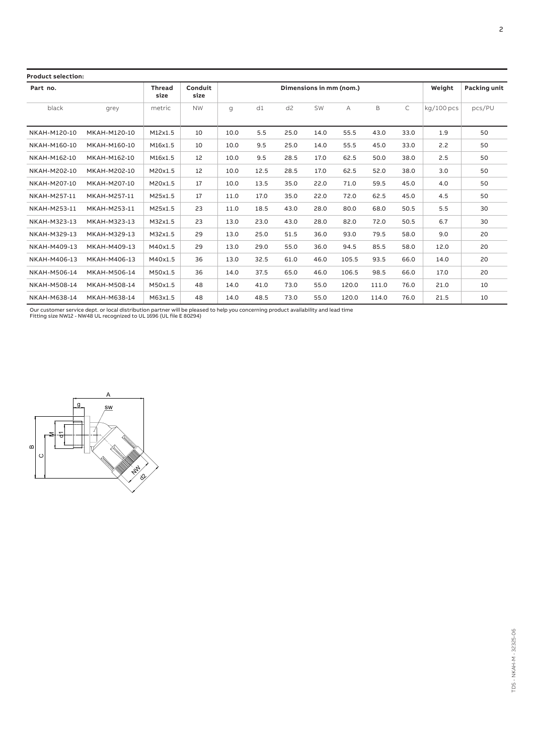| <b>Product selection:</b> |                       |                 |                         |      |      |                |      |        |                     |      |              |        |
|---------------------------|-----------------------|-----------------|-------------------------|------|------|----------------|------|--------|---------------------|------|--------------|--------|
| Part no.                  | <b>Thread</b><br>size | Conduit<br>size | Dimensions in mm (nom.) |      |      |                |      | Weight | <b>Packing unit</b> |      |              |        |
| black                     | grey                  | metric          | <b>NW</b>               | q    | d1   | d <sub>2</sub> | SW   | Α      | B                   | C    | $kq/100$ pcs | pcs/PU |
| NKAH-M120-10              | MKAH-M120-10          | M12x1.5         | 10                      | 10.0 | 5.5  | 25.0           | 14.0 | 55.5   | 43.0                | 33.0 | 1.9          | 50     |
| NKAH-M160-10              | MKAH-M160-10          | M16x1.5         | 10                      | 10.0 | 9.5  | 25.0           | 14.0 | 55.5   | 45.0                | 33.0 | 2.2          | 50     |
| NKAH-M162-10              | MKAH-M162-10          | M16x1.5         | 12                      | 10.0 | 9.5  | 28.5           | 17.0 | 62.5   | 50.0                | 38.0 | 2.5          | 50     |
| NKAH-M202-10              | MKAH-M202-10          | M20x1.5         | 12                      | 10.0 | 12.5 | 28.5           | 17.0 | 62.5   | 52.0                | 38.0 | 3.0          | 50     |
| NKAH-M207-10              | MKAH-M207-10          | M20x1.5         | 17                      | 10.0 | 13.5 | 35.0           | 22.0 | 71.0   | 59.5                | 45.0 | 4.0          | 50     |
| NKAH-M257-11              | MKAH-M257-11          | M25x1.5         | 17                      | 11.0 | 17.0 | 35.0           | 22.0 | 72.0   | 62.5                | 45.0 | 4.5          | 50     |
| NKAH-M253-11              | MKAH-M253-11          | M25x1.5         | 23                      | 11.0 | 18.5 | 43.0           | 28.0 | 80.0   | 68.0                | 50.5 | 5.5          | 30     |
| NKAH-M323-13              | MKAH-M323-13          | M32x1.5         | 23                      | 13.0 | 23.0 | 43.0           | 28.0 | 82.0   | 72.0                | 50.5 | 6.7          | 30     |
| NKAH-M329-13              | MKAH-M329-13          | M32x1.5         | 29                      | 13.0 | 25.0 | 51.5           | 36.0 | 93.0   | 79.5                | 58.0 | 9.0          | 20     |
| NKAH-M409-13              | MKAH-M409-13          | M40x1.5         | 29                      | 13.0 | 29.0 | 55.0           | 36.0 | 94.5   | 85.5                | 58.0 | 12.0         | 20     |
| NKAH-M406-13              | MKAH-M406-13          | M40x1.5         | 36                      | 13.0 | 32.5 | 61.0           | 46.0 | 105.5  | 93.5                | 66.0 | 14.0         | 20     |
| NKAH-M506-14              | MKAH-M506-14          | M50x1.5         | 36                      | 14.0 | 37.5 | 65.0           | 46.0 | 106.5  | 98.5                | 66.0 | 17.0         | 20     |
| NKAH-M508-14              | MKAH-M508-14          | M50x1.5         | 48                      | 14.0 | 41.0 | 73.0           | 55.0 | 120.0  | 111.0               | 76.0 | 21.0         | 10     |
| NKAH-M638-14              | MKAH-M638-14          | M63x1.5         | 48                      | 14.0 | 48.5 | 73.0           | 55.0 | 120.0  | 114.0               | 76.0 | 21.5         | 10     |

Our customer service dept. or local distribution partner will be pleased to help you concerning product availability and lead time Fitting size NW12 - NW48 UL recognized to UL 1696 (UL file E 80294)